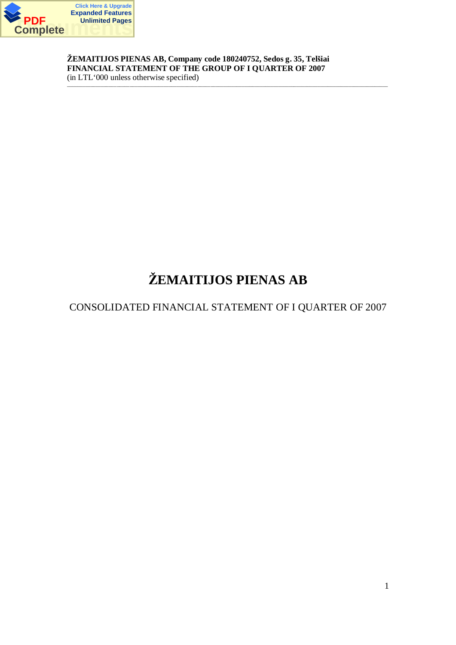

**äEMAITIJOS PIENAS AB, Company code 180240752, Sedos g. 35, Telãiai FINANCIAL STATEMENT OF THE GROUP OF I QUARTER OF 2007** (in LTL'000 unless otherwise specified)

\_\_\_\_\_\_\_\_\_\_\_\_\_\_\_\_\_\_\_\_\_\_\_\_\_\_\_\_\_\_\_\_\_\_\_\_\_\_\_\_\_\_\_\_\_\_\_\_\_\_\_\_\_\_\_\_\_\_\_\_\_\_\_\_\_\_\_\_\_\_\_\_\_\_\_\_\_\_\_\_\_\_\_\_\_\_\_\_\_\_\_\_\_\_\_\_\_\_\_\_\_\_\_\_\_\_\_\_\_\_\_\_\_\_\_\_\_\_\_\_\_\_\_

# **äEMAITIJOS PIENAS AB**

# CONSOLIDATED FINANCIAL STATEMENT OF I QUARTER OF 2007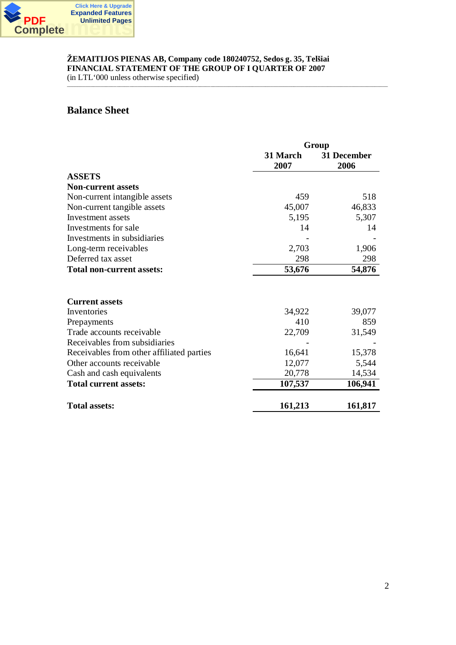

 $\text{(in LTL '000 unless otherwise specified)}$ 

# **Balance Sheet**

|                                           | Group            |                     |  |
|-------------------------------------------|------------------|---------------------|--|
|                                           | 31 March<br>2007 | 31 December<br>2006 |  |
| <b>ASSETS</b>                             |                  |                     |  |
| <b>Non-current assets</b>                 |                  |                     |  |
| Non-current intangible assets             | 459              | 518                 |  |
| Non-current tangible assets               | 45,007           | 46,833              |  |
| Investment assets                         | 5,195            | 5,307               |  |
| Investments for sale                      | 14               | 14                  |  |
| Investments in subsidiaries               |                  |                     |  |
| Long-term receivables                     | 2,703            | 1,906               |  |
| Deferred tax asset                        | 298              | 298                 |  |
| <b>Total non-current assets:</b>          | 53,676           | 54,876              |  |
|                                           |                  |                     |  |
| <b>Current assets</b>                     |                  |                     |  |
| Inventories                               | 34,922           | 39,077              |  |
| Prepayments                               | 410              | 859                 |  |
| Trade accounts receivable                 | 22,709           | 31,549              |  |
| Receivables from subsidiaries             |                  |                     |  |
| Receivables from other affiliated parties | 16,641           | 15,378              |  |
| Other accounts receivable                 | 12,077           | 5,544               |  |
| Cash and cash equivalents                 | 20,778           | 14,534              |  |
| <b>Total current assets:</b>              | 107,537          | 106,941             |  |
| <b>Total assets:</b>                      | 161,213          | 161,817             |  |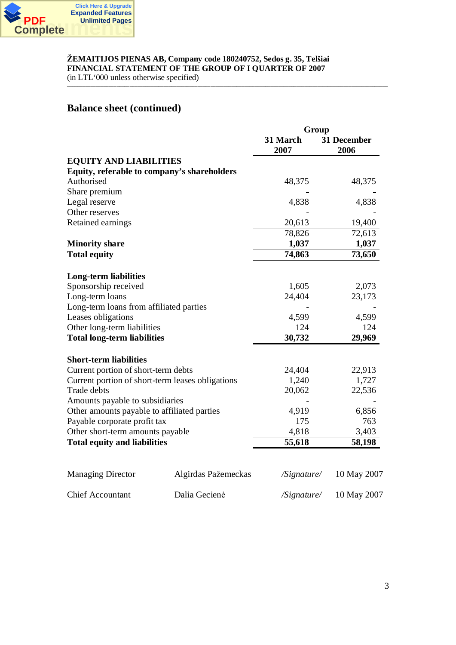

(in LTL'000 unless otherwise specified) \_\_\_\_\_\_\_\_\_\_\_\_\_\_\_\_\_\_\_\_\_\_\_\_\_\_\_\_\_\_\_\_\_\_\_\_\_\_\_\_\_\_\_\_\_\_\_\_\_\_\_\_\_\_\_\_\_\_\_\_\_\_\_\_\_\_\_\_\_\_\_\_\_\_\_\_\_\_\_\_\_\_\_\_\_\_\_\_\_\_\_\_\_\_\_\_\_\_\_\_\_\_\_\_\_\_\_\_\_\_\_\_\_\_\_\_\_\_\_\_\_\_\_

# **Balance sheet (continued)**

|                                                  |                     | Group            |                     |  |
|--------------------------------------------------|---------------------|------------------|---------------------|--|
|                                                  |                     | 31 March<br>2007 | 31 December<br>2006 |  |
| <b>EQUITY AND LIABILITIES</b>                    |                     |                  |                     |  |
| Equity, referable to company's shareholders      |                     |                  |                     |  |
| Authorised                                       |                     | 48,375           | 48,375              |  |
| Share premium                                    |                     |                  |                     |  |
| Legal reserve                                    |                     | 4,838            | 4,838               |  |
| Other reserves                                   |                     |                  |                     |  |
| Retained earnings                                |                     | 20,613           | 19,400              |  |
|                                                  |                     | 78,826           | 72,613              |  |
| <b>Minority share</b>                            |                     | 1,037            | 1,037               |  |
| <b>Total equity</b>                              |                     | 74,863           | 73,650              |  |
| <b>Long-term liabilities</b>                     |                     |                  |                     |  |
| Sponsorship received                             |                     | 1,605            | 2,073               |  |
| Long-term loans                                  |                     | 24,404           | 23,173              |  |
| Long-term loans from affiliated parties          |                     |                  |                     |  |
| Leases obligations                               |                     | 4,599            | 4,599               |  |
| Other long-term liabilities                      |                     | 124              | 124                 |  |
| <b>Total long-term liabilities</b>               |                     | 30,732           | 29,969              |  |
| <b>Short-term liabilities</b>                    |                     |                  |                     |  |
| Current portion of short-term debts              |                     | 24,404           | 22,913              |  |
| Current portion of short-term leases obligations |                     | 1,240            | 1,727               |  |
| Trade debts                                      |                     | 20,062           | 22,536              |  |
| Amounts payable to subsidiaries                  |                     |                  |                     |  |
| Other amounts payable to affiliated parties      |                     | 4,919            | 6,856               |  |
| Payable corporate profit tax                     |                     | 175              | 763                 |  |
| Other short-term amounts payable                 |                     | 4,818            | 3,403               |  |
| <b>Total equity and liabilities</b>              |                     | 55,618           | 58,198              |  |
|                                                  |                     |                  |                     |  |
| <b>Managing Director</b>                         | Algirdas Pažemeckas | /Signature/      | 10 May 2007         |  |
| <b>Chief Accountant</b>                          | Dalia Gecienė       | /Signature/      | 10 May 2007         |  |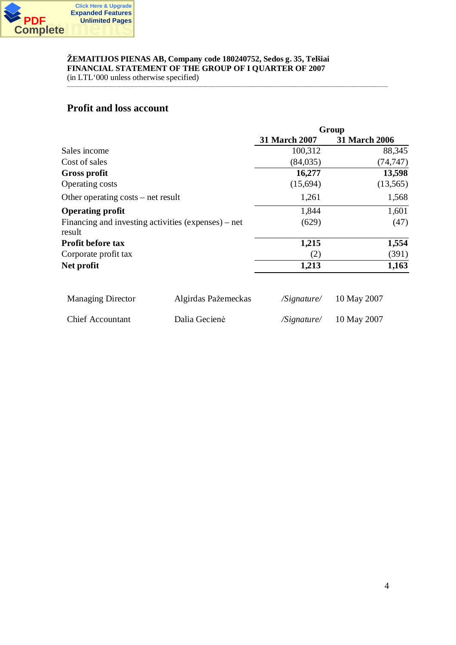

(in LTL'000 unless otherwise specified) \_\_\_\_\_\_\_\_\_\_\_\_\_\_\_\_\_\_\_\_\_\_\_\_\_\_\_\_\_\_\_\_\_\_\_\_\_\_\_\_\_\_\_\_\_\_\_\_\_\_\_\_\_\_\_\_\_\_\_\_\_\_\_\_\_\_\_\_\_\_\_\_\_\_\_\_\_\_\_\_\_\_\_\_\_\_\_\_\_\_\_\_\_\_\_\_\_\_\_\_\_\_\_\_\_\_\_\_\_\_\_\_\_\_\_\_\_\_\_\_\_\_\_

# **Profit and loss account**

|                                      |                                                     | Group                        |                      |  |
|--------------------------------------|-----------------------------------------------------|------------------------------|----------------------|--|
|                                      |                                                     | <b>31 March 2007</b>         | <b>31 March 2006</b> |  |
| Sales income                         |                                                     | 100,312                      | 88,345               |  |
| Cost of sales                        |                                                     | (84, 035)                    | (74, 747)            |  |
| <b>Gross profit</b>                  |                                                     | 16,277                       | 13,598               |  |
| <b>Operating costs</b>               |                                                     | (15,694)                     | (13,565)             |  |
| Other operating $costs$ – net result |                                                     | 1,261                        | 1,568                |  |
| <b>Operating profit</b>              |                                                     | 1,844                        | 1,601                |  |
| result                               | Financing and investing activities (expenses) – net | (629)                        | (47)                 |  |
| Profit before tax                    |                                                     | 1,215                        | 1,554                |  |
| Corporate profit tax                 |                                                     | (2)                          | (391)                |  |
| Net profit                           |                                                     | 1,213                        | 1,163                |  |
| <b>Managing Director</b>             | Algirdas Pažemeckas                                 | $\sqrt{S}$ <i>s</i> ignature | 10 May 2007          |  |
| <b>Chief Accountant</b>              | Dalia Gecienė                                       | /Signature/                  | 10 May 2007          |  |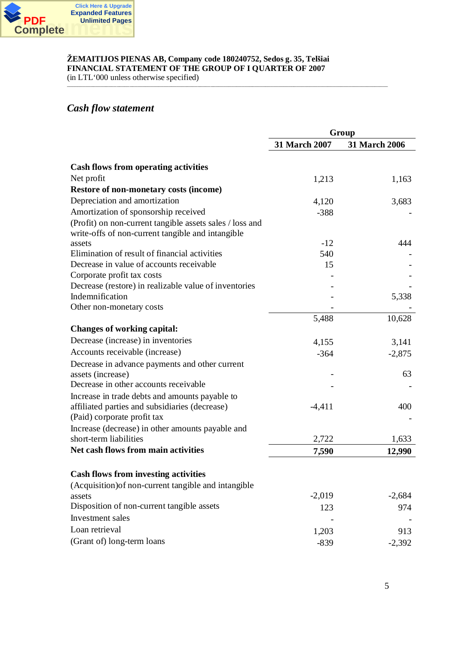

(in LTL'000 unless otherwise specified) \_\_\_\_\_\_\_\_\_\_\_\_\_\_\_\_\_\_\_\_\_\_\_\_\_\_\_\_\_\_\_\_\_\_\_\_\_\_\_\_\_\_\_\_\_\_\_\_\_\_\_\_\_\_\_\_\_\_\_\_\_\_\_\_\_\_\_\_\_\_\_\_\_\_\_\_\_\_\_\_\_\_\_\_\_\_\_\_\_\_\_\_\_\_\_\_\_\_\_\_\_\_\_\_\_\_\_\_\_\_\_\_\_\_\_\_\_\_\_\_\_\_\_

# *Cash flow statement*

|                                                                                                               | Group         |                      |  |
|---------------------------------------------------------------------------------------------------------------|---------------|----------------------|--|
|                                                                                                               | 31 March 2007 | <b>31 March 2006</b> |  |
| <b>Cash flows from operating activities</b>                                                                   |               |                      |  |
| Net profit                                                                                                    | 1,213         | 1,163                |  |
| <b>Restore of non-monetary costs (income)</b>                                                                 |               |                      |  |
| Depreciation and amortization                                                                                 | 4,120         | 3,683                |  |
| Amortization of sponsorship received                                                                          | $-388$        |                      |  |
| (Profit) on non-current tangible assets sales / loss and<br>write-offs of non-current tangible and intangible |               |                      |  |
| assets                                                                                                        | $-12$         | 444                  |  |
| Elimination of result of financial activities                                                                 | 540           |                      |  |
| Decrease in value of accounts receivable                                                                      | 15            |                      |  |
| Corporate profit tax costs                                                                                    |               |                      |  |
| Decrease (restore) in realizable value of inventories                                                         |               |                      |  |
| Indemnification                                                                                               |               | 5,338                |  |
| Other non-monetary costs                                                                                      |               |                      |  |
|                                                                                                               | 5,488         | 10,628               |  |
| <b>Changes of working capital:</b>                                                                            |               |                      |  |
| Decrease (increase) in inventories                                                                            | 4,155         | 3,141                |  |
| Accounts receivable (increase)                                                                                | $-364$        | $-2,875$             |  |
| Decrease in advance payments and other current                                                                |               |                      |  |
| assets (increase)                                                                                             |               | 63                   |  |
| Decrease in other accounts receivable                                                                         |               |                      |  |
| Increase in trade debts and amounts payable to                                                                |               |                      |  |
| affiliated parties and subsidiaries (decrease)                                                                | $-4,411$      | 400                  |  |
| (Paid) corporate profit tax                                                                                   |               |                      |  |
| Increase (decrease) in other amounts payable and                                                              |               |                      |  |
| short-term liabilities                                                                                        | 2,722         | 1,633                |  |
| Net cash flows from main activities                                                                           | 7,590         | 12,990               |  |
| <b>Cash flows from investing activities</b>                                                                   |               |                      |  |
| (Acquisition) of non-current tangible and intangible                                                          |               |                      |  |
| assets                                                                                                        | $-2,019$      | $-2,684$             |  |
| Disposition of non-current tangible assets                                                                    | 123           | 974                  |  |
| Investment sales                                                                                              |               |                      |  |
| Loan retrieval                                                                                                | 1,203         | 913                  |  |
| (Grant of) long-term loans                                                                                    | $-839$        | $-2,392$             |  |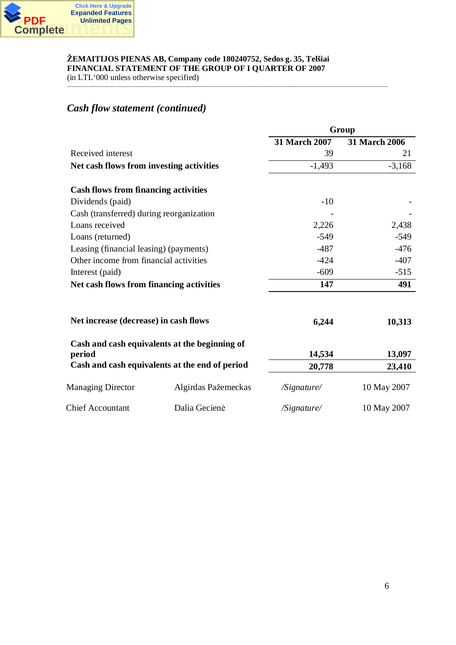

(in LTL'000 unless otherwise specified) \_\_\_\_\_\_\_\_\_\_\_\_\_\_\_\_\_\_\_\_\_\_\_\_\_\_\_\_\_\_\_\_\_\_\_\_\_\_\_\_\_\_\_\_\_\_\_\_\_\_\_\_\_\_\_\_\_\_\_\_\_\_\_\_\_\_\_\_\_\_\_\_\_\_\_\_\_\_\_\_\_\_\_\_\_\_\_\_\_\_\_\_\_\_\_\_\_\_\_\_\_\_\_\_\_\_\_\_\_\_\_\_\_\_\_\_\_\_\_\_\_\_\_

# *Cash flow statement (continued)*

|                                             |                                                | Group                |                      |  |  |
|---------------------------------------------|------------------------------------------------|----------------------|----------------------|--|--|
|                                             |                                                | <b>31 March 2007</b> | <b>31 March 2006</b> |  |  |
| Received interest                           |                                                | 39                   | 21                   |  |  |
| Net cash flows from investing activities    |                                                | $-1,493$             | $-3,168$             |  |  |
| <b>Cash flows from financing activities</b> |                                                |                      |                      |  |  |
| Dividends (paid)                            |                                                | $-10$                |                      |  |  |
| Cash (transferred) during reorganization    |                                                |                      |                      |  |  |
| Loans received                              |                                                | 2,226                | 2,438                |  |  |
| Loans (returned)                            |                                                | $-549$               | $-549$               |  |  |
| Leasing (financial leasing) (payments)      |                                                | $-487$               | $-476$               |  |  |
| Other income from financial activities      |                                                | $-424$               | $-407$               |  |  |
| Interest (paid)                             |                                                | $-609$               | $-515$               |  |  |
| Net cash flows from financing activities    |                                                | 147                  | 491                  |  |  |
| Net increase (decrease) in cash flows       |                                                | 6,244                | 10,313               |  |  |
| period                                      | Cash and cash equivalents at the beginning of  | 14,534               | 13,097               |  |  |
|                                             | Cash and cash equivalents at the end of period | 20,778               | 23,410               |  |  |
| <b>Managing Director</b>                    | Algirdas Pažemeckas                            | /Signature/          | 10 May 2007          |  |  |
| <b>Chief Accountant</b>                     | Dalia Gecienė                                  | /Signature/          | 10 May 2007          |  |  |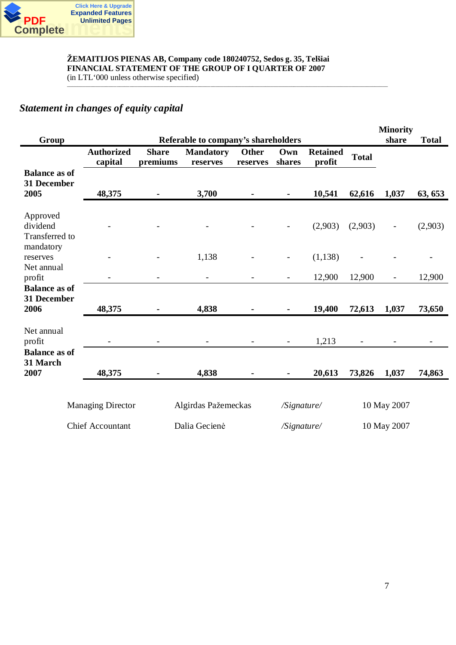

# **äEMAITIJOS PIENAS AB, Company code 180240752, Sedos g. 35, Telãiai FINANCIAL STATEMENT OF THE GROUP OF I QUARTER OF 2007**  $\text{(in LTL '000 unless otherwise specified)}$

# *Statement in changes of equity capital*

| Group                                       |                              |                          | Referable to company's shareholders |                          |               |                           |                | <b>Minority</b><br>share | <b>Total</b>   |
|---------------------------------------------|------------------------------|--------------------------|-------------------------------------|--------------------------|---------------|---------------------------|----------------|--------------------------|----------------|
|                                             | <b>Authorized</b><br>capital | <b>Share</b><br>premiums | <b>Mandatory</b><br>reserves        | <b>Other</b><br>reserves | Own<br>shares | <b>Retained</b><br>profit | <b>Total</b>   |                          |                |
| <b>Balance as of</b><br>31 December<br>2005 | 48,375                       |                          | 3,700                               |                          |               | 10,541                    | 62,616         | 1,037                    | 63, 653        |
| Approved<br>dividend<br>Transferred to      |                              |                          | $\overline{\phantom{a}}$            |                          |               | (2,903)                   | (2,903)        | $\overline{\phantom{a}}$ | (2,903)        |
| mandatory<br>reserves                       |                              |                          | 1,138                               |                          |               | (1, 138)                  |                |                          |                |
| Net annual<br>profit                        |                              |                          | $\blacksquare$                      |                          |               | 12,900                    | 12,900         | $\blacksquare$           | 12,900         |
| <b>Balance as of</b><br>31 December<br>2006 | 48,375                       |                          | 4,838                               |                          |               | 19,400                    | 72,613         | 1,037                    | 73,650         |
| Net annual<br>profit                        |                              |                          | $\overline{\phantom{a}}$            | $\blacksquare$           |               | 1,213                     | $\blacksquare$ |                          | $\blacksquare$ |
| <b>Balance as of</b><br>31 March<br>2007    | 48,375                       |                          | 4,838                               |                          |               | 20,613                    | 73,826         | 1,037                    | 74,863         |
|                                             | <b>Managing Director</b>     |                          | Algirdas Pažemeckas                 |                          | /Signature/   |                           |                | 10 May 2007              |                |
|                                             | <b>Chief Accountant</b>      |                          | Dalia Gecienė                       |                          | /Signature/   |                           |                | 10 May 2007              |                |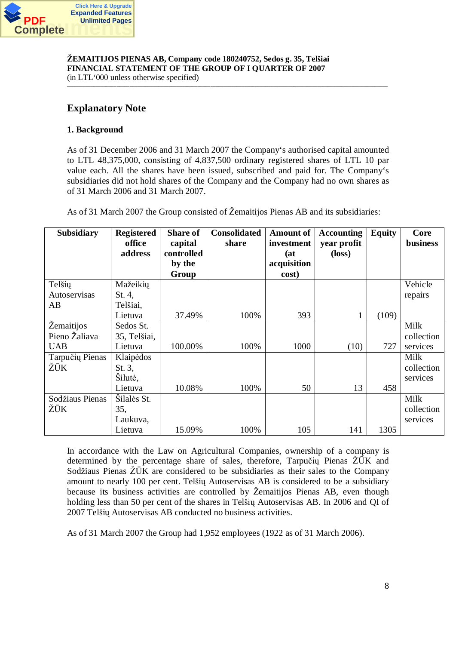

**Explanatory Note**

# **1. Background**

As of 31 December 2006 and 31 March 2007 the Company's authorised capital amounted to LTL 48,375,000, consisting of 4,837,500 ordinary registered shares of LTL 10 par value each. All the shares have been issued, subscribed and paid for. The Company's subsidiaries did not hold shares of the Company and the Company had no own shares as of 31 March 2006 and 31 March 2007.

\_\_\_\_\_\_\_\_\_\_\_\_\_\_\_\_\_\_\_\_\_\_\_\_\_\_\_\_\_\_\_\_\_\_\_\_\_\_\_\_\_\_\_\_\_\_\_\_\_\_\_\_\_\_\_\_\_\_\_\_\_\_\_\_\_\_\_\_\_\_\_\_\_\_\_\_\_\_\_\_\_\_\_\_\_\_\_\_\_\_\_\_\_\_\_\_\_\_\_\_\_\_\_\_\_\_\_\_\_\_\_\_\_\_\_\_\_\_\_\_\_\_\_

As of 31 March 2007 the Group consisted of Žemaitijos Pienas AB and its subsidiaries:

| Subsidiary      | <b>Registered</b> | <b>Share of</b> | <b>Consolidated</b> | <b>Amount of</b> | <b>Accounting</b> | <b>Equity</b> | Core       |
|-----------------|-------------------|-----------------|---------------------|------------------|-------------------|---------------|------------|
|                 | office            | capital         | share               | investment       | year profit       |               | business   |
|                 | address           | controlled      |                     | (at)             | $(\text{loss})$   |               |            |
|                 |                   | by the          |                     | acquisition      |                   |               |            |
|                 |                   | Group           |                     | cost)            |                   |               |            |
| Telšių          | Mažeikių          |                 |                     |                  |                   |               | Vehicle    |
| Autoservisas    | St. 4,            |                 |                     |                  |                   |               | repairs    |
| AB              | Telšiai,          |                 |                     |                  |                   |               |            |
|                 | Lietuva           | 37.49%          | 100%                | 393              |                   | (109)         |            |
| Žemaitijos      | Sedos St.         |                 |                     |                  |                   |               | Milk       |
| Pieno Žaliava   | 35, Telšiai,      |                 |                     |                  |                   |               | collection |
| <b>UAB</b>      | Lietuva           | 100.00%         | 100%                | 1000             | (10)              | 727           | services   |
| Tarpučių Pienas | Klaipėdos         |                 |                     |                  |                   |               | Milk       |
| ŽŪK             | St. $3,$          |                 |                     |                  |                   |               | collection |
|                 | Šilutė,           |                 |                     |                  |                   |               | services   |
|                 | Lietuva           | 10.08%          | 100%                | 50               | 13                | 458           |            |
| Sodžiaus Pienas | Šilalės St.       |                 |                     |                  |                   |               | Milk       |
| ŽŪK             | 35,               |                 |                     |                  |                   |               | collection |
|                 | Laukuva,          |                 |                     |                  |                   |               | services   |
|                 | Lietuva           | 15.09%          | 100%                | 105              | 141               | 1305          |            |

In accordance with the Law on Agricultural Companies, ownership of a company is determined by the percentage share of sales, therefore, Tarpučių Pienas  $\tilde{Z} \overline{U} K$  and Sodžiaus Pienas  $\overline{Z} \overline{U} K$  are considered to be subsidiaries as their sales to the Company amount to nearly 100 per cent. Telšių Autoservisas AB is considered to be a subsidiary because its business activities are controlled by äemaitijos Pienas AB, even though holding less than 50 per cent of the shares in Telšiu Autoservisas AB. In 2006 and QI of 2007 Telšių Autoservisas AB conducted no business activities.

As of 31 March 2007 the Group had 1,952 employees (1922 as of 31 March 2006).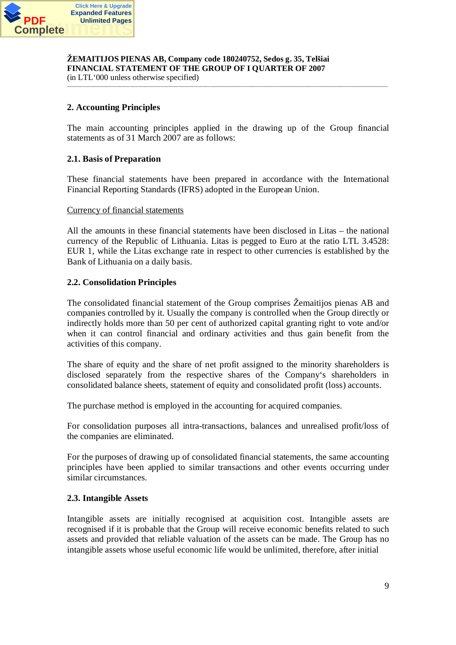

(in LTL'000 unless otherwise specified) \_\_\_\_\_\_\_\_\_\_\_\_\_\_\_\_\_\_\_\_\_\_\_\_\_\_\_\_\_\_\_\_\_\_\_\_\_\_\_\_\_\_\_\_\_\_\_\_\_\_\_\_\_\_\_\_\_\_\_\_\_\_\_\_\_\_\_\_\_\_\_\_\_\_\_\_\_\_\_\_\_\_\_\_\_\_\_\_\_\_\_\_\_\_\_\_\_\_\_\_\_\_\_\_\_\_\_\_\_\_\_\_\_\_\_\_\_\_\_\_\_\_\_

# **2. Accounting Principles**

The main accounting principles applied in the drawing up of the Group financial statements as of 31 March 2007 are as follows:

# **2.1. Basis of Preparation**

These financial statements have been prepared in accordance with the International Financial Reporting Standards (IFRS) adopted in the European Union.

#### Currency of financial statements

All the amounts in these financial statements have been disclosed in Litas – the national currency of the Republic of Lithuania. Litas is pegged to Euro at the ratio LTL 3.4528: EUR 1, while the Litas exchange rate in respect to other currencies is established by the Bank of Lithuania on a daily basis.

# **2.2. Consolidation Principles**

The consolidated financial statement of the Group comprises äemaitijos pienas AB and companies controlled by it. Usually the company is controlled when the Group directly or indirectly holds more than 50 per cent of authorized capital granting right to vote and/or when it can control financial and ordinary activities and thus gain benefit from the activities of this company.

The share of equity and the share of net profit assigned to the minority shareholders is disclosed separately from the respective shares of the Company's shareholders in consolidated balance sheets, statement of equity and consolidated profit (loss) accounts.

The purchase method is employed in the accounting for acquired companies.

For consolidation purposes all intra-transactions, balances and unrealised profit/loss of the companies are eliminated.

For the purposes of drawing up of consolidated financial statements, the same accounting principles have been applied to similar transactions and other events occurring under similar circumstances.

# **2.3. Intangible Assets**

Intangible assets are initially recognised at acquisition cost. Intangible assets are recognised if it is probable that the Group will receive economic benefits related to such assets and provided that reliable valuation of the assets can be made. The Group has no intangible assets whose useful economic life would be unlimited, therefore, after initial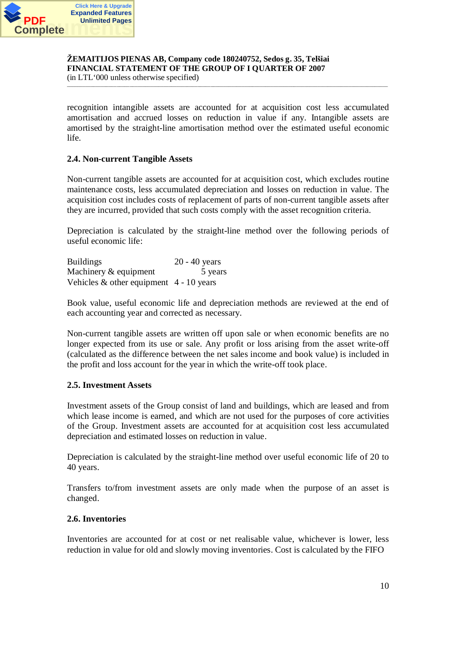

(in LTL'000 unless otherwise specified) \_\_\_\_\_\_\_\_\_\_\_\_\_\_\_\_\_\_\_\_\_\_\_\_\_\_\_\_\_\_\_\_\_\_\_\_\_\_\_\_\_\_\_\_\_\_\_\_\_\_\_\_\_\_\_\_\_\_\_\_\_\_\_\_\_\_\_\_\_\_\_\_\_\_\_\_\_\_\_\_\_\_\_\_\_\_\_\_\_\_\_\_\_\_\_\_\_\_\_\_\_\_\_\_\_\_\_\_\_\_\_\_\_\_\_\_\_\_\_\_\_\_\_

recognition intangible assets are accounted for at acquisition cost less accumulated amortisation and accrued losses on reduction in value if any. Intangible assets are amortised by the straight-line amortisation method over the estimated useful economic life.

#### **2.4. Non-current Tangible Assets**

Non-current tangible assets are accounted for at acquisition cost, which excludes routine maintenance costs, less accumulated depreciation and losses on reduction in value. The acquisition cost includes costs of replacement of parts of non-current tangible assets after they are incurred, provided that such costs comply with the asset recognition criteria.

Depreciation is calculated by the straight-line method over the following periods of useful economic life:

Buildings 20 - 40 years Machinery & equipment 5 years Vehicles  $&$  other equipment 4 - 10 years

Book value, useful economic life and depreciation methods are reviewed at the end of each accounting year and corrected as necessary.

Non-current tangible assets are written off upon sale or when economic benefits are no longer expected from its use or sale. Any profit or loss arising from the asset write-off (calculated as the difference between the net sales income and book value) is included in the profit and loss account for the year in which the write-off took place.

#### **2.5. Investment Assets**

Investment assets of the Group consist of land and buildings, which are leased and from which lease income is earned, and which are not used for the purposes of core activities of the Group. Investment assets are accounted for at acquisition cost less accumulated depreciation and estimated losses on reduction in value.

Depreciation is calculated by the straight-line method over useful economic life of 20 to 40 years.

Transfers to/from investment assets are only made when the purpose of an asset is changed.

#### **2.6. Inventories**

Inventories are accounted for at cost or net realisable value, whichever is lower, less reduction in value for old and slowly moving inventories. Cost is calculated by the FIFO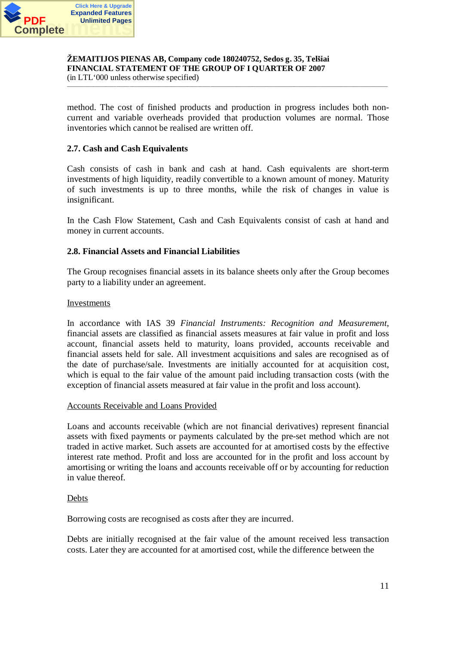

(in LTL'000 unless otherwise specified) \_\_\_\_\_\_\_\_\_\_\_\_\_\_\_\_\_\_\_\_\_\_\_\_\_\_\_\_\_\_\_\_\_\_\_\_\_\_\_\_\_\_\_\_\_\_\_\_\_\_\_\_\_\_\_\_\_\_\_\_\_\_\_\_\_\_\_\_\_\_\_\_\_\_\_\_\_\_\_\_\_\_\_\_\_\_\_\_\_\_\_\_\_\_\_\_\_\_\_\_\_\_\_\_\_\_\_\_\_\_\_\_\_\_\_\_\_\_\_\_\_\_\_

method. The cost of finished products and production in progress includes both noncurrent and variable overheads provided that production volumes are normal. Those inventories which cannot be realised are written off.

# **2.7. Cash and Cash Equivalents**

Cash consists of cash in bank and cash at hand. Cash equivalents are short-term investments of high liquidity, readily convertible to a known amount of money. Maturity of such investments is up to three months, while the risk of changes in value is insignificant.

In the Cash Flow Statement, Cash and Cash Equivalents consist of cash at hand and money in current accounts.

# **2.8. Financial Assets and Financial Liabilities**

The Group recognises financial assets in its balance sheets only after the Group becomes party to a liability under an agreement.

#### Investments

In accordance with IAS 39 *Financial Instruments: Recognition and Measurement*, financial assets are classified as financial assets measures at fair value in profit and loss account, financial assets held to maturity, loans provided, accounts receivable and financial assets held for sale. All investment acquisitions and sales are recognised as of the date of purchase/sale. Investments are initially accounted for at acquisition cost, which is equal to the fair value of the amount paid including transaction costs (with the exception of financial assets measured at fair value in the profit and loss account).

#### Accounts Receivable and Loans Provided

Loans and accounts receivable (which are not financial derivatives) represent financial assets with fixed payments or payments calculated by the pre-set method which are not traded in active market. Such assets are accounted for at amortised costs by the effective interest rate method. Profit and loss are accounted for in the profit and loss account by amortising or writing the loans and accounts receivable off or by accounting for reduction in value thereof.

#### Debts

Borrowing costs are recognised as costs after they are incurred.

Debts are initially recognised at the fair value of the amount received less transaction costs. Later they are accounted for at amortised cost, while the difference between the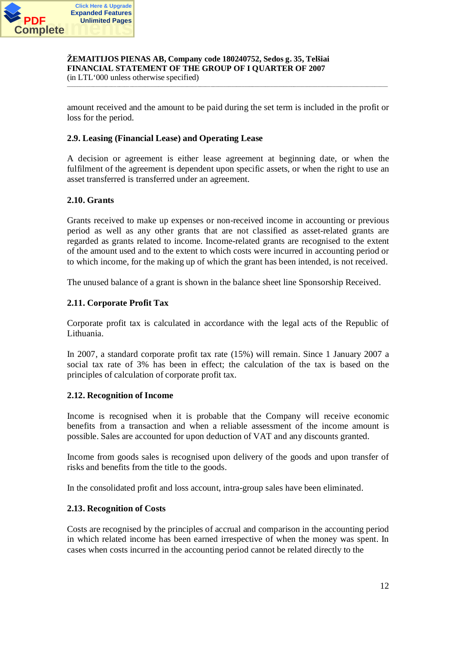

(in LTL'000 unless otherwise specified) \_\_\_\_\_\_\_\_\_\_\_\_\_\_\_\_\_\_\_\_\_\_\_\_\_\_\_\_\_\_\_\_\_\_\_\_\_\_\_\_\_\_\_\_\_\_\_\_\_\_\_\_\_\_\_\_\_\_\_\_\_\_\_\_\_\_\_\_\_\_\_\_\_\_\_\_\_\_\_\_\_\_\_\_\_\_\_\_\_\_\_\_\_\_\_\_\_\_\_\_\_\_\_\_\_\_\_\_\_\_\_\_\_\_\_\_\_\_\_\_\_\_\_

amount received and the amount to be paid during the set term is included in the profit or loss for the period.

#### **2.9. Leasing (Financial Lease) and Operating Lease**

A decision or agreement is either lease agreement at beginning date, or when the fulfilment of the agreement is dependent upon specific assets, or when the right to use an asset transferred is transferred under an agreement.

# **2.10. Grants**

Grants received to make up expenses or non-received income in accounting or previous period as well as any other grants that are not classified as asset-related grants are regarded as grants related to income. Income-related grants are recognised to the extent of the amount used and to the extent to which costs were incurred in accounting period or to which income, for the making up of which the grant has been intended, is not received.

The unused balance of a grant is shown in the balance sheet line Sponsorship Received.

# **2.11. Corporate Profit Tax**

Corporate profit tax is calculated in accordance with the legal acts of the Republic of Lithuania.

In 2007, a standard corporate profit tax rate (15%) will remain. Since 1 January 2007 a social tax rate of 3% has been in effect; the calculation of the tax is based on the principles of calculation of corporate profit tax.

#### **2.12. Recognition of Income**

Income is recognised when it is probable that the Company will receive economic benefits from a transaction and when a reliable assessment of the income amount is possible. Sales are accounted for upon deduction of VAT and any discounts granted.

Income from goods sales is recognised upon delivery of the goods and upon transfer of risks and benefits from the title to the goods.

In the consolidated profit and loss account, intra-group sales have been eliminated.

# **2.13. Recognition of Costs**

Costs are recognised by the principles of accrual and comparison in the accounting period in which related income has been earned irrespective of when the money was spent. In cases when costs incurred in the accounting period cannot be related directly to the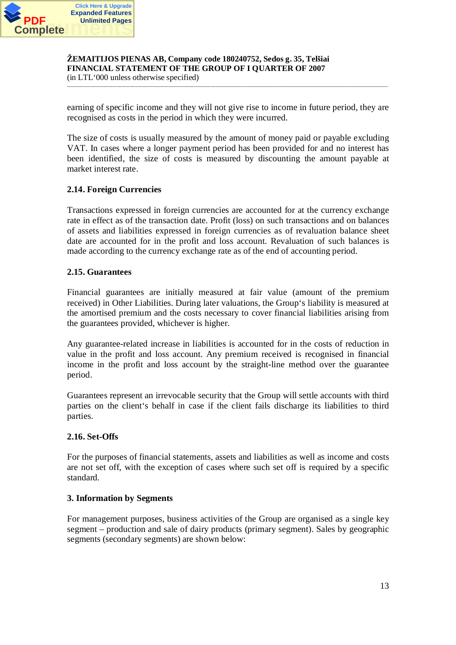

(in LTL'000 unless otherwise specified) \_\_\_\_\_\_\_\_\_\_\_\_\_\_\_\_\_\_\_\_\_\_\_\_\_\_\_\_\_\_\_\_\_\_\_\_\_\_\_\_\_\_\_\_\_\_\_\_\_\_\_\_\_\_\_\_\_\_\_\_\_\_\_\_\_\_\_\_\_\_\_\_\_\_\_\_\_\_\_\_\_\_\_\_\_\_\_\_\_\_\_\_\_\_\_\_\_\_\_\_\_\_\_\_\_\_\_\_\_\_\_\_\_\_\_\_\_\_\_\_\_\_\_

earning of specific income and they will not give rise to income in future period, they are recognised as costs in the period in which they were incurred.

The size of costs is usually measured by the amount of money paid or payable excluding VAT. In cases where a longer payment period has been provided for and no interest has been identified, the size of costs is measured by discounting the amount payable at market interest rate.

# **2.14. Foreign Currencies**

Transactions expressed in foreign currencies are accounted for at the currency exchange rate in effect as of the transaction date. Profit (loss) on such transactions and on balances of assets and liabilities expressed in foreign currencies as of revaluation balance sheet date are accounted for in the profit and loss account. Revaluation of such balances is made according to the currency exchange rate as of the end of accounting period.

# **2.15. Guarantees**

Financial guarantees are initially measured at fair value (amount of the premium received) in Other Liabilities. During later valuations, the Group's liability is measured at the amortised premium and the costs necessary to cover financial liabilities arising from the guarantees provided, whichever is higher.

Any guarantee-related increase in liabilities is accounted for in the costs of reduction in value in the profit and loss account. Any premium received is recognised in financial income in the profit and loss account by the straight-line method over the guarantee period.

Guarantees represent an irrevocable security that the Group will settle accounts with third parties on the client's behalf in case if the client fails discharge its liabilities to third parties.

# **2.16. Set-Offs**

For the purposes of financial statements, assets and liabilities as well as income and costs are not set off, with the exception of cases where such set off is required by a specific standard.

# **3. Information by Segments**

For management purposes, business activities of the Group are organised as a single key segment – production and sale of dairy products (primary segment). Sales by geographic segments (secondary segments) are shown below: